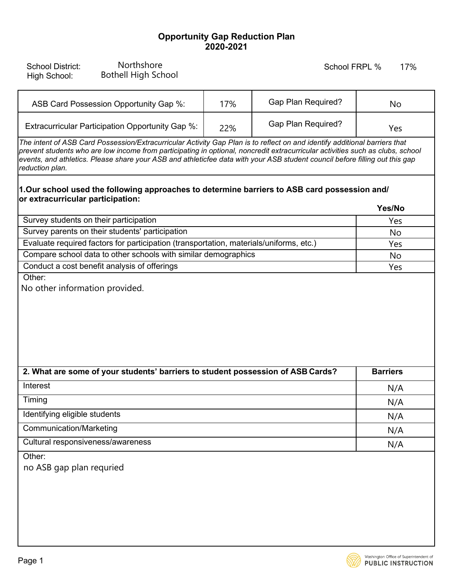## **Opportunity Gap Reduction Plan 2020-2021**

| <b>School District:</b><br>High School:                                                                                                                  | Northshore<br><b>Bothell High School</b>                                                                                                                                                                                                                                                                                                                                                    |     | School FRPL %             | 17%             |
|----------------------------------------------------------------------------------------------------------------------------------------------------------|---------------------------------------------------------------------------------------------------------------------------------------------------------------------------------------------------------------------------------------------------------------------------------------------------------------------------------------------------------------------------------------------|-----|---------------------------|-----------------|
|                                                                                                                                                          | ASB Card Possession Opportunity Gap %:                                                                                                                                                                                                                                                                                                                                                      | 17% | <b>Gap Plan Required?</b> | No              |
|                                                                                                                                                          | Extracurricular Participation Opportunity Gap %:                                                                                                                                                                                                                                                                                                                                            | 22% | <b>Gap Plan Required?</b> | Yes             |
| reduction plan.                                                                                                                                          | The intent of ASB Card Possession/Extracurricular Activity Gap Plan is to reflect on and identify additional barriers that<br>prevent students who are low income from participating in optional, noncredit extracurricular activities such as clubs, school<br>events, and athletics. Please share your ASB and athleticfee data with your ASB student council before filling out this gap |     |                           |                 |
| or extracurricular participation:                                                                                                                        | 1.Our school used the following approaches to determine barriers to ASB card possession and/                                                                                                                                                                                                                                                                                                |     |                           |                 |
|                                                                                                                                                          |                                                                                                                                                                                                                                                                                                                                                                                             |     |                           | Yes/No          |
| Survey students on their participation                                                                                                                   |                                                                                                                                                                                                                                                                                                                                                                                             |     |                           | Yes             |
| Survey parents on their students' participation                                                                                                          |                                                                                                                                                                                                                                                                                                                                                                                             |     |                           | No              |
| Evaluate required factors for participation (transportation, materials/uniforms, etc.)<br>Compare school data to other schools with similar demographics |                                                                                                                                                                                                                                                                                                                                                                                             |     |                           | Yes<br>No       |
| Conduct a cost benefit analysis of offerings                                                                                                             |                                                                                                                                                                                                                                                                                                                                                                                             |     |                           | Yes             |
| No other information provided.                                                                                                                           |                                                                                                                                                                                                                                                                                                                                                                                             |     |                           |                 |
| 2. What are some of your students' barriers to student possession of ASB Cards?                                                                          |                                                                                                                                                                                                                                                                                                                                                                                             |     |                           | <b>Barriers</b> |
| Interest                                                                                                                                                 |                                                                                                                                                                                                                                                                                                                                                                                             |     |                           | N/A             |
| Timing                                                                                                                                                   |                                                                                                                                                                                                                                                                                                                                                                                             |     |                           | N/A             |
| Identifying eligible students                                                                                                                            |                                                                                                                                                                                                                                                                                                                                                                                             |     |                           | N/A             |
| <b>Communication/Marketing</b>                                                                                                                           |                                                                                                                                                                                                                                                                                                                                                                                             |     |                           | N/A             |
| Cultural responsiveness/awareness                                                                                                                        |                                                                                                                                                                                                                                                                                                                                                                                             |     |                           | N/A             |
| Other:<br>no ASB gap plan requried                                                                                                                       |                                                                                                                                                                                                                                                                                                                                                                                             |     |                           |                 |